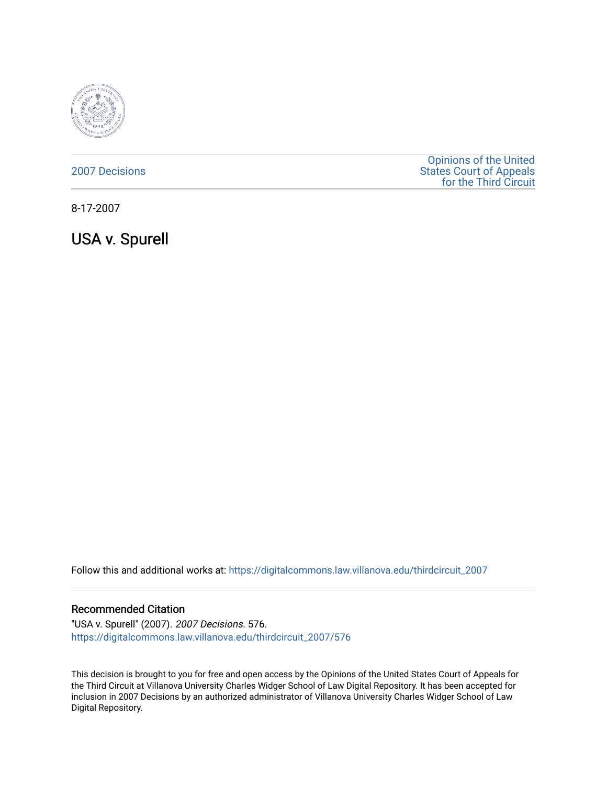

[2007 Decisions](https://digitalcommons.law.villanova.edu/thirdcircuit_2007)

[Opinions of the United](https://digitalcommons.law.villanova.edu/thirdcircuit)  [States Court of Appeals](https://digitalcommons.law.villanova.edu/thirdcircuit)  [for the Third Circuit](https://digitalcommons.law.villanova.edu/thirdcircuit) 

8-17-2007

USA v. Spurell

Follow this and additional works at: [https://digitalcommons.law.villanova.edu/thirdcircuit\\_2007](https://digitalcommons.law.villanova.edu/thirdcircuit_2007?utm_source=digitalcommons.law.villanova.edu%2Fthirdcircuit_2007%2F576&utm_medium=PDF&utm_campaign=PDFCoverPages) 

### Recommended Citation

"USA v. Spurell" (2007). 2007 Decisions. 576. [https://digitalcommons.law.villanova.edu/thirdcircuit\\_2007/576](https://digitalcommons.law.villanova.edu/thirdcircuit_2007/576?utm_source=digitalcommons.law.villanova.edu%2Fthirdcircuit_2007%2F576&utm_medium=PDF&utm_campaign=PDFCoverPages)

This decision is brought to you for free and open access by the Opinions of the United States Court of Appeals for the Third Circuit at Villanova University Charles Widger School of Law Digital Repository. It has been accepted for inclusion in 2007 Decisions by an authorized administrator of Villanova University Charles Widger School of Law Digital Repository.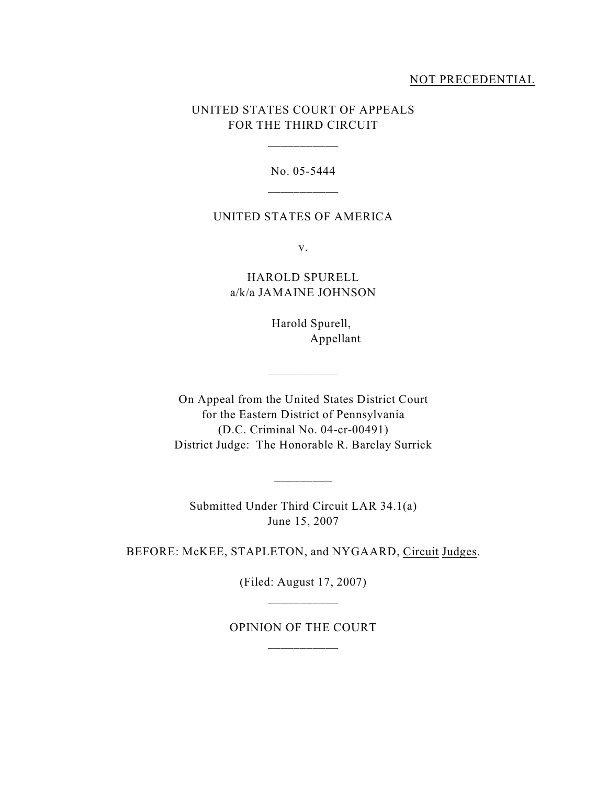## NOT PRECEDENTIAL

# UNITED STATES COURT OF APPEALS FOR THE THIRD CIRCUIT

\_\_\_\_\_\_\_\_\_\_\_

No. 05-5444

### UNITED STATES OF AMERICA

v.

HAROLD SPURELL a/k/a JAMAINE JOHNSON

> Harold Spurell, Appellant

On Appeal from the United States District Court for the Eastern District of Pennsylvania (D.C. Criminal No. 04-cr-00491) District Judge: The Honorable R. Barclay Surrick

 $\overline{\phantom{a}}$   $\overline{\phantom{a}}$   $\overline{\phantom{a}}$   $\overline{\phantom{a}}$   $\overline{\phantom{a}}$   $\overline{\phantom{a}}$   $\overline{\phantom{a}}$   $\overline{\phantom{a}}$   $\overline{\phantom{a}}$   $\overline{\phantom{a}}$   $\overline{\phantom{a}}$   $\overline{\phantom{a}}$   $\overline{\phantom{a}}$   $\overline{\phantom{a}}$   $\overline{\phantom{a}}$   $\overline{\phantom{a}}$   $\overline{\phantom{a}}$   $\overline{\phantom{a}}$   $\overline{\$ 

Submitted Under Third Circuit LAR 34.1(a) June 15, 2007

\_\_\_\_\_\_\_\_\_

BEFORE: McKEE, STAPLETON, and NYGAARD, Circuit Judges.

(Filed: August 17, 2007)

OPINION OF THE COURT \_\_\_\_\_\_\_\_\_\_\_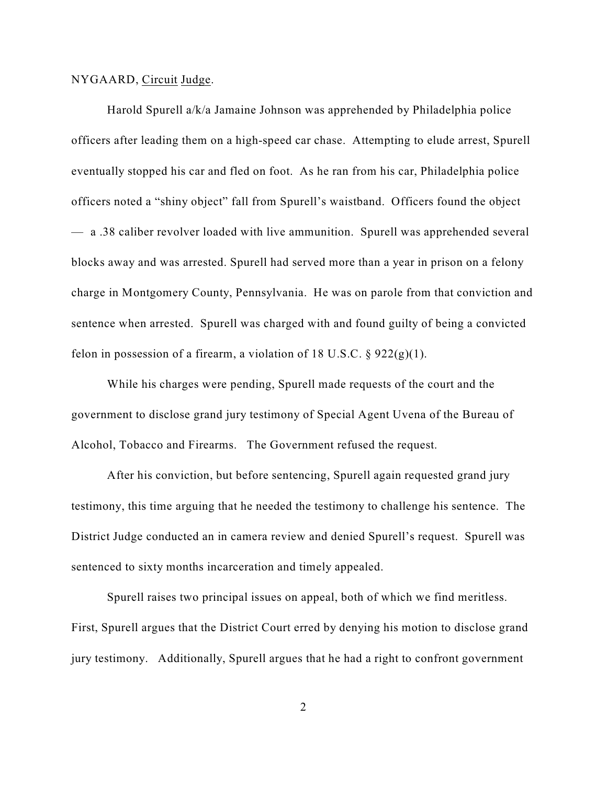#### NYGAARD, Circuit Judge.

Harold Spurell a/k/a Jamaine Johnson was apprehended by Philadelphia police officers after leading them on a high-speed car chase. Attempting to elude arrest, Spurell eventually stopped his car and fled on foot. As he ran from his car, Philadelphia police officers noted a "shiny object" fall from Spurell's waistband. Officers found the object — a .38 caliber revolver loaded with live ammunition. Spurell was apprehended several blocks away and was arrested. Spurell had served more than a year in prison on a felony charge in Montgomery County, Pennsylvania. He was on parole from that conviction and sentence when arrested. Spurell was charged with and found guilty of being a convicted felon in possession of a firearm, a violation of 18 U.S.C.  $\S$  922(g)(1).

While his charges were pending, Spurell made requests of the court and the government to disclose grand jury testimony of Special Agent Uvena of the Bureau of Alcohol, Tobacco and Firearms. The Government refused the request.

After his conviction, but before sentencing, Spurell again requested grand jury testimony, this time arguing that he needed the testimony to challenge his sentence. The District Judge conducted an in camera review and denied Spurell's request. Spurell was sentenced to sixty months incarceration and timely appealed.

Spurell raises two principal issues on appeal, both of which we find meritless. First, Spurell argues that the District Court erred by denying his motion to disclose grand jury testimony. Additionally, Spurell argues that he had a right to confront government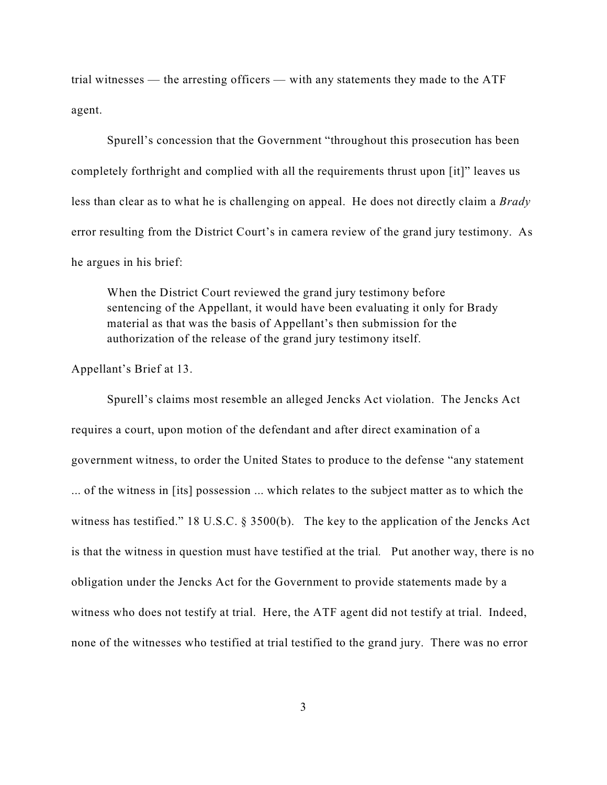trial witnesses — the arresting officers — with any statements they made to the ATF agent.

Spurell's concession that the Government "throughout this prosecution has been completely forthright and complied with all the requirements thrust upon [it]" leaves us less than clear as to what he is challenging on appeal. He does not directly claim a *Brady* error resulting from the District Court's in camera review of the grand jury testimony. As he argues in his brief:

When the District Court reviewed the grand jury testimony before sentencing of the Appellant, it would have been evaluating it only for Brady material as that was the basis of Appellant's then submission for the authorization of the release of the grand jury testimony itself.

Appellant's Brief at 13.

Spurell's claims most resemble an alleged Jencks Act violation. The Jencks Act requires a court, upon motion of the defendant and after direct examination of a government witness, to order the United States to produce to the defense "any statement ... of the witness in [its] possession ... which relates to the subject matter as to which the witness has testified." 18 U.S.C. § 3500(b). The key to the application of the Jencks Act is that the witness in question must have testified at the trial*.* Put another way, there is no obligation under the Jencks Act for the Government to provide statements made by a witness who does not testify at trial. Here, the ATF agent did not testify at trial. Indeed, none of the witnesses who testified at trial testified to the grand jury. There was no error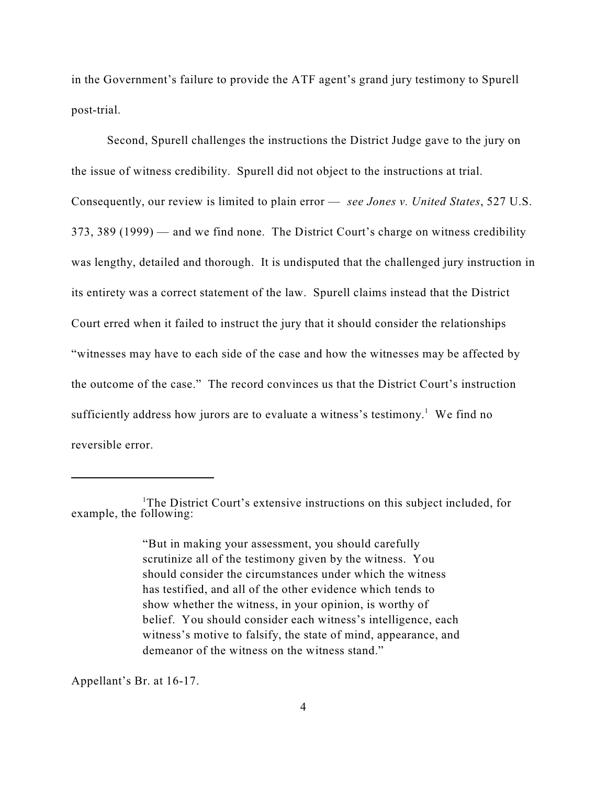in the Government's failure to provide the ATF agent's grand jury testimony to Spurell post-trial.

Second, Spurell challenges the instructions the District Judge gave to the jury on the issue of witness credibility. Spurell did not object to the instructions at trial. Consequently, our review is limited to plain error — *see Jones v. United States*, 527 U.S. 373, 389 (1999) — and we find none. The District Court's charge on witness credibility was lengthy, detailed and thorough. It is undisputed that the challenged jury instruction in its entirety was a correct statement of the law. Spurell claims instead that the District Court erred when it failed to instruct the jury that it should consider the relationships "witnesses may have to each side of the case and how the witnesses may be affected by the outcome of the case." The record convinces us that the District Court's instruction sufficiently address how jurors are to evaluate a witness's testimony.<sup>1</sup> We find no reversible error.

Appellant's Br. at 16-17.

<sup>&</sup>lt;sup>1</sup>The District Court's extensive instructions on this subject included, for example, the following:

<sup>&</sup>quot;But in making your assessment, you should carefully scrutinize all of the testimony given by the witness. You should consider the circumstances under which the witness has testified, and all of the other evidence which tends to show whether the witness, in your opinion, is worthy of belief. You should consider each witness's intelligence, each witness's motive to falsify, the state of mind, appearance, and demeanor of the witness on the witness stand."